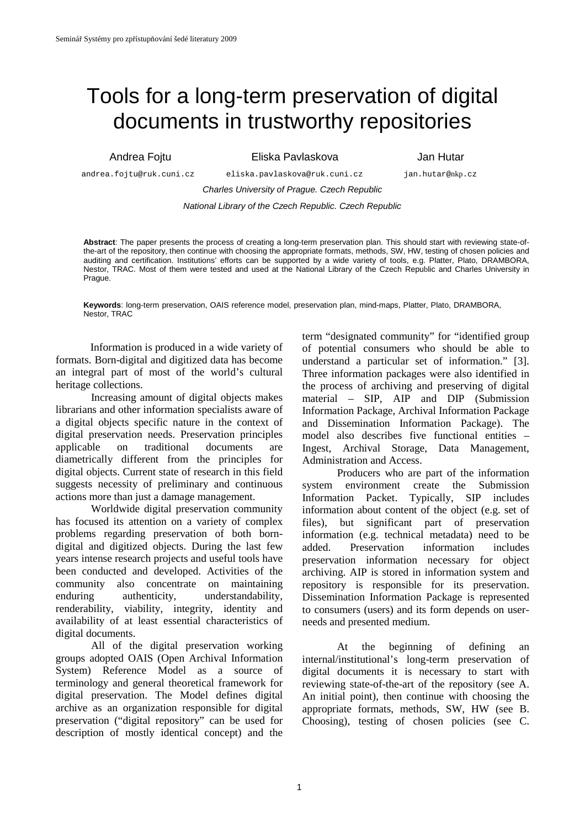# Tools for a long-term preservation of digital documents in trustworthy repositories

Andrea Fojtu Eliska Pavlaskova Jan Hutar

 andrea.fojtu@ruk.cuni.cz eliska.pavlaskova@ruk.cuni.cz jan.hutar@nkp.cz Charles University of Prague. Czech Republic

National Library of the Czech Republic. Czech Republic

**Abstract**: The paper presents the process of creating a long-term preservation plan. This should start with reviewing state-ofthe-art of the repository, then continue with choosing the appropriate formats, methods, SW, HW, testing of chosen policies and auditing and certification. Institutions' efforts can be supported by a wide variety of tools, e.g. Platter, Plato, DRAMBORA, Nestor, TRAC. Most of them were tested and used at the National Library of the Czech Republic and Charles University in Prague.

**Keywords**: long-term preservation, OAIS reference model, preservation plan, mind-maps, Platter, Plato, DRAMBORA, Nestor, TRAC

Information is produced in a wide variety of formats. Born-digital and digitized data has become an integral part of most of the world's cultural heritage collections.

Increasing amount of digital objects makes librarians and other information specialists aware of a digital objects specific nature in the context of digital preservation needs. Preservation principles applicable on traditional documents are diametrically different from the principles for digital objects. Current state of research in this field suggests necessity of preliminary and continuous actions more than just a damage management.

Worldwide digital preservation community has focused its attention on a variety of complex problems regarding preservation of both borndigital and digitized objects. During the last few years intense research projects and useful tools have been conducted and developed. Activities of the community also concentrate on maintaining enduring authenticity, understandability, renderability, viability, integrity, identity and availability of at least essential characteristics of digital documents.

All of the digital preservation working groups adopted OAIS (Open Archival Information System) Reference Model as a source of terminology and general theoretical framework for digital preservation. The Model defines digital archive as an organization responsible for digital preservation ("digital repository" can be used for description of mostly identical concept) and the term "designated community" for "identified group of potential consumers who should be able to understand a particular set of information." [3]. Three information packages were also identified in the process of archiving and preserving of digital material – SIP, AIP and DIP (Submission Information Package, Archival Information Package and Dissemination Information Package). The model also describes five functional entities – Ingest, Archival Storage, Data Management, Administration and Access.

Producers who are part of the information system environment create the Submission Information Packet. Typically, SIP includes information about content of the object (e.g. set of files), but significant part of preservation information (e.g. technical metadata) need to be added. Preservation information includes preservation information necessary for object archiving. AIP is stored in information system and repository is responsible for its preservation. Dissemination Information Package is represented to consumers (users) and its form depends on userneeds and presented medium.

At the beginning of defining an internal/institutional's long-term preservation of digital documents it is necessary to start with reviewing state-of-the-art of the repository (see A. An initial point), then continue with choosing the appropriate formats, methods, SW, HW (see B. Choosing), testing of chosen policies (see C.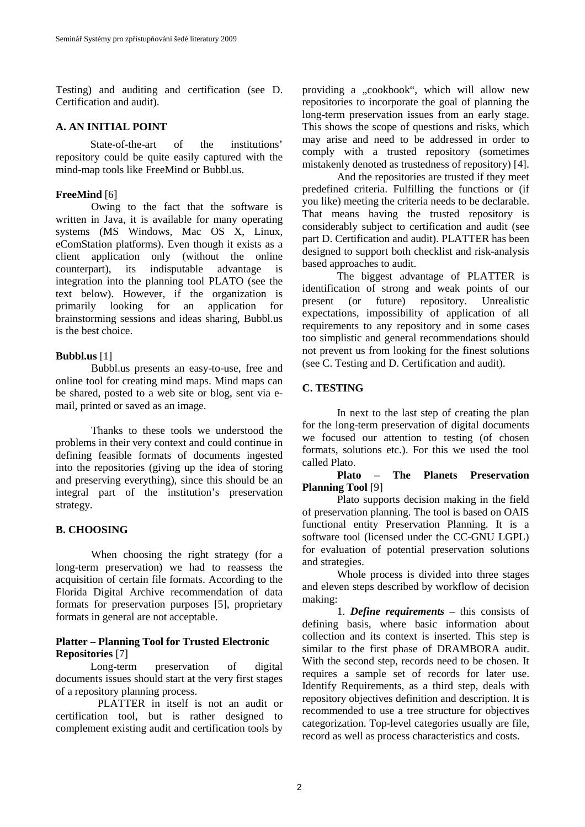Testing) and auditing and certification (see D. Certification and audit).

#### **A. AN INITIAL POINT**

State-of-the-art of the institutions' repository could be quite easily captured with the mind-map tools like FreeMind or Bubbl.us.

## **FreeMind** [6]

Owing to the fact that the software is written in Java, it is available for many operating systems (MS Windows, Mac OS X, Linux, eComStation platforms). Even though it exists as a client application only (without the online counterpart), its indisputable advantage is integration into the planning tool PLATO (see the text below). However, if the organization is primarily looking for an application for brainstorming sessions and ideas sharing, Bubbl.us is the best choice.

#### **Bubbl.us** [1]

Bubbl.us presents an easy-to-use, free and online tool for creating mind maps. Mind maps can be shared, posted to a web site or blog, sent via email, printed or saved as an image.

Thanks to these tools we understood the problems in their very context and could continue in defining feasible formats of documents ingested into the repositories (giving up the idea of storing and preserving everything), since this should be an integral part of the institution's preservation strategy.

## **B. CHOOSING**

When choosing the right strategy (for a long-term preservation) we had to reassess the acquisition of certain file formats. According to the Florida Digital Archive recommendation of data formats for preservation purposes [5], proprietary formats in general are not acceptable.

#### **Platter** – **Planning Tool for Trusted Electronic Repositories** [7]

Long-term preservation of digital documents issues should start at the very first stages of a repository planning process.

PLATTER in itself is not an audit or certification tool, but is rather designed to complement existing audit and certification tools by providing a "cookbook", which will allow new repositories to incorporate the goal of planning the long-term preservation issues from an early stage. This shows the scope of questions and risks, which may arise and need to be addressed in order to comply with a trusted repository (sometimes mistakenly denoted as trustedness of repository) [4].

And the repositories are trusted if they meet predefined criteria. Fulfilling the functions or (if you like) meeting the criteria needs to be declarable. That means having the trusted repository is considerably subject to certification and audit (see part D. Certification and audit). PLATTER has been designed to support both checklist and risk-analysis based approaches to audit.

The biggest advantage of PLATTER is identification of strong and weak points of our present (or future) repository. Unrealistic expectations, impossibility of application of all requirements to any repository and in some cases too simplistic and general recommendations should not prevent us from looking for the finest solutions (see C. Testing and D. Certification and audit).

## **C. TESTING**

In next to the last step of creating the plan for the long-term preservation of digital documents we focused our attention to testing (of chosen formats, solutions etc.). For this we used the tool called Plato.

#### **Plato – The Planets Preservation Planning Tool** [9]

Plato supports decision making in the field of preservation planning. The tool is based on OAIS functional entity Preservation Planning. It is a software tool (licensed under the CC-GNU LGPL) for evaluation of potential preservation solutions and strategies.

Whole process is divided into three stages and eleven steps described by workflow of decision making:

1. *Define requirements* – this consists of defining basis, where basic information about collection and its context is inserted. This step is similar to the first phase of DRAMBORA audit. With the second step, records need to be chosen. It requires a sample set of records for later use. Identify Requirements, as a third step, deals with repository objectives definition and description. It is recommended to use a tree structure for objectives categorization. Top-level categories usually are file, record as well as process characteristics and costs.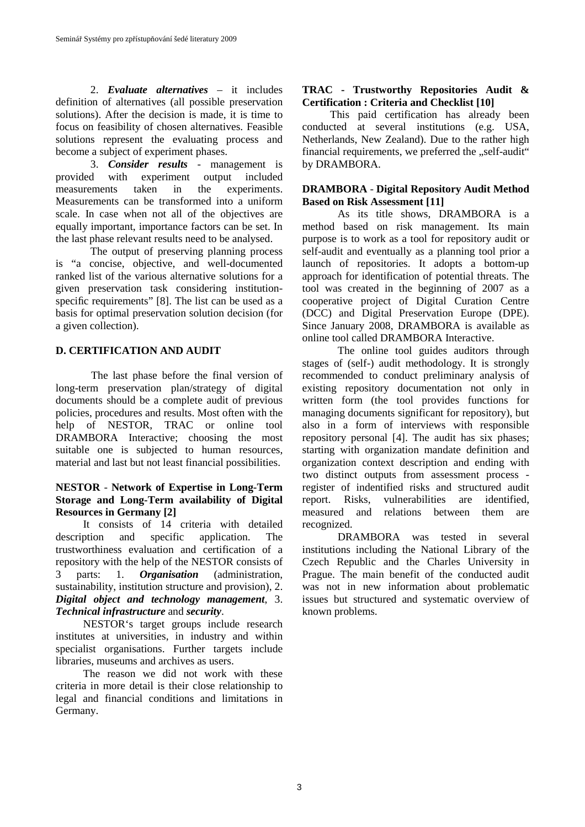2. *Evaluate alternatives* – it includes definition of alternatives (all possible preservation solutions). After the decision is made, it is time to focus on feasibility of chosen alternatives. Feasible solutions represent the evaluating process and become a subject of experiment phases.

3. *Consider results* - management is provided with experiment output included measurements taken in the experiments. Measurements can be transformed into a uniform scale. In case when not all of the objectives are equally important, importance factors can be set. In the last phase relevant results need to be analysed.

The output of preserving planning process is "a concise, objective, and well-documented ranked list of the various alternative solutions for a given preservation task considering institutionspecific requirements" [8]. The list can be used as a basis for optimal preservation solution decision (for a given collection).

#### **D. CERTIFICATION AND AUDIT**

The last phase before the final version of long-term preservation plan/strategy of digital documents should be a complete audit of previous policies, procedures and results. Most often with the help of NESTOR, TRAC or online tool DRAMBORA Interactive; choosing the most suitable one is subjected to human resources, material and last but not least financial possibilities.

#### **NESTOR** - **Network of Expertise in Long-Term Storage and Long-Term availability of Digital Resources in Germany [2]**

 It consists of 14 criteria with detailed description and specific application. The trustworthiness evaluation and certification of a repository with the help of the NESTOR consists of 3 parts: 1. *Organisation* (administration, sustainability, institution structure and provision), 2. *Digital object and technology management*, 3. *Technical infrastructure* and *security*.

 NESTOR's target groups include research institutes at universities, in industry and within specialist organisations. Further targets include libraries, museums and archives as users.

 The reason we did not work with these criteria in more detail is their close relationship to legal and financial conditions and limitations in Germany.

### **TRAC - Trustworthy Repositories Audit & Certification : Criteria and Checklist [10]**

This paid certification has already been conducted at several institutions (e.g. USA, Netherlands, New Zealand). Due to the rather high financial requirements, we preferred the "self-audit" by DRAMBORA.

#### **DRAMBORA** - **Digital Repository Audit Method Based on Risk Assessment [11]**

As its title shows, DRAMBORA is a method based on risk management. Its main purpose is to work as a tool for repository audit or self-audit and eventually as a planning tool prior a launch of repositories. It adopts a bottom-up approach for identification of potential threats. The tool was created in the beginning of 2007 as a cooperative project of Digital Curation Centre (DCC) and Digital Preservation Europe (DPE). Since January 2008, DRAMBORA is available as online tool called DRAMBORA Interactive.

The online tool guides auditors through stages of (self-) audit methodology. It is strongly recommended to conduct preliminary analysis of existing repository documentation not only in written form (the tool provides functions for managing documents significant for repository), but also in a form of interviews with responsible repository personal [4]. The audit has six phases; starting with organization mandate definition and organization context description and ending with two distinct outputs from assessment process register of indentified risks and structured audit report. Risks, vulnerabilities are identified, measured and relations between them are recognized.

DRAMBORA was tested in several institutions including the National Library of the Czech Republic and the Charles University in Prague. The main benefit of the conducted audit was not in new information about problematic issues but structured and systematic overview of known problems.